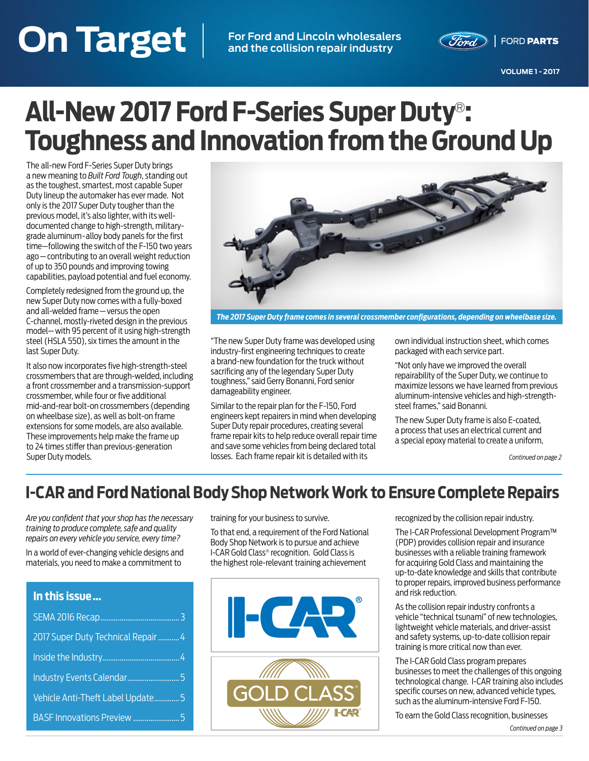## **On Target VOLUME 1 - 2017 On Target For Ford and Lincoln wholesalers**

**and the collision repair industry**



**VOLUME 1 - 2017**

# **All-New 2017 Ford F-Series Super Duty**®**: Toughness and Innovation from the Ground Up**

The all-new Ford F-Series Super Duty brings a new meaning to *Built Ford Tough*, standing out as the toughest, smartest, most capable Super Duty lineup the automaker has ever made. Not only is the 2017 Super Duty tougher than the previous model, it's also lighter, with its welldocumented change to high-strength, militarygrade aluminum-alloy body panels for the first time—following the switch of the F-150 two years ago — contributing to an overall weight reduction of up to 350 pounds and improving towing capabilities, payload potential and fuel economy.

Completely redesigned from the ground up, the new Super Duty now comes with a fully-boxed and all-welded frame — versus the open C-channel, mostly-riveted design in the previous model— with 95 percent of it using high-strength steel (HSLA 550), six times the amount in the last Super Duty.

It also now incorporates five high-strength-steel crossmembers that are through-welded, including a front crossmember and a transmission-support crossmember, while four or five additional mid-and-rear bolt-on crossmembers (depending on wheelbase size), as well as bolt-on frame extensions for some models, are also available. These improvements help make the frame up to 24 times stiffer than previous-generation Super Duty models.



*The 2017 Super Duty frame comes in several crossmember configurations, depending on wheelbase size.*

"The new Super Duty frame was developed using industry-first engineering techniques to create a brand-new foundation for the truck without sacrificing any of the legendary Super Duty toughness," said Gerry Bonanni, Ford senior damageability engineer.

Similar to the repair plan for the F-150, Ford engineers kept repairers in mind when developing Super Duty repair procedures, creating several frame repair kits to help reduce overall repair time and save some vehicles from being declared total losses. Each frame repair kit is detailed with its

own individual instruction sheet, which comes packaged with each service part.

"Not only have we improved the overall repairability of the Super Duty, we continue to maximize lessons we have learned from previous aluminum-intensive vehicles and high-strengthsteel frames," said Bonanni.

The new Super Duty frame is also E-coated, a process that uses an electrical current and a special epoxy material to create a uniform,

*Continued on page 2*

### **I-CAR and Ford National Body Shop Network Work to Ensure Complete Repairs**

*Are you confident that your shop has the necessary training to produce complete, safe and quality repairs on every vehicle you service, every time?* 

In a world of ever-changing vehicle designs and materials, you need to make a commitment to

| In this issue                       |
|-------------------------------------|
|                                     |
| 2017 Super Duty Technical Repair  4 |
|                                     |
|                                     |
| Vehicle Anti-Theft Label Update5    |
|                                     |

training for your business to survive.

To that end, a requirement of the Ford National Body Shop Network is to pursue and achieve I-CAR Gold Class® recognition. Gold Class is the highest role-relevant training achievement



recognized by the collision repair industry.

The I-CAR Professional Development Program™ (PDP) provides collision repair and insurance businesses with a reliable training framework for acquiring Gold Class and maintaining the up-to-date knowledge and skills that contribute to proper repairs, improved business performance and risk reduction.

As the collision repair industry confronts a vehicle "technical tsunami" of new technologies, lightweight vehicle materials, and driver-assist and safety systems, up-to-date collision repair training is more critical now than ever.

The I-CAR Gold Class program prepares businesses to meet the challenges of this ongoing technological change. I-CAR training also includes specific courses on new, advanced vehicle types, such as the aluminum-intensive Ford F-150.

To earn the Gold Class recognition, businesses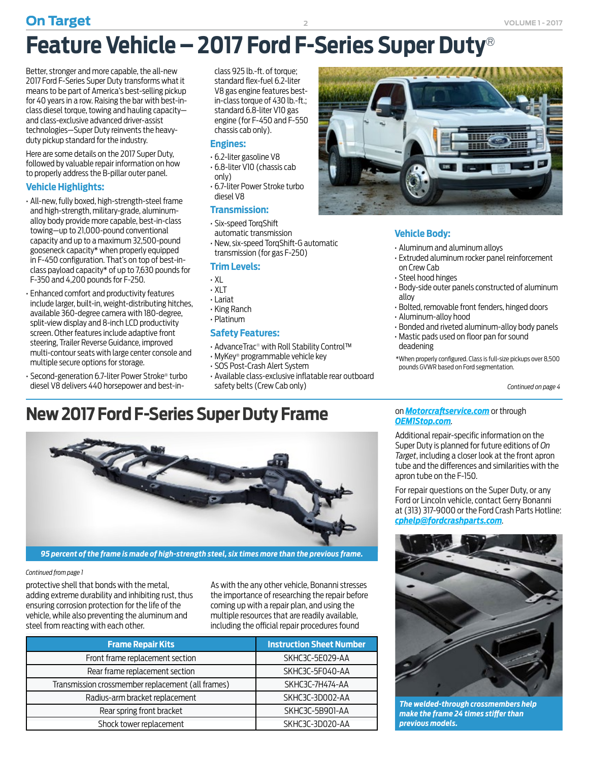Better, stronger and more capable, the all-new 2017 Ford F-Series Super Duty transforms what it means to be part of America's best-selling pickup for 40 years in a row. Raising the bar with best-inclass diesel torque, towing and hauling capacity and class-exclusive advanced driver-assist technologies—Super Duty reinvents the heavyduty pickup standard for the industry.

Here are some details on the 2017 Super Duty, followed by valuable repair information on how to properly address the B-pillar outer panel.

#### **Vehicle Highlights:**

- All-new, fully boxed, high-strength-steel frame and high-strength, military-grade, aluminumalloy body provide more capable, best-in-class towing—up to 21,000-pound conventional capacity and up to a maximum 32,500-pound gooseneck capacity\* when properly equipped in F-450 configuration. That's on top of best-inclass payload capacity\* of up to 7,630 pounds for F-350 and 4,200 pounds for F-250.
- Enhanced comfort and productivity features include larger, built-in, weight-distributing hitches, available 360-degree camera with 180-degree, split-view display and 8-inch LCD productivity screen. Other features include adaptive front steering, Trailer Reverse Guidance, improved multi-contour seats with large center console and multiple secure options for storage.
- Second-generation 6.7-liter Power Stroke® turbo diesel V8 delivers 440 horsepower and best-in-

class 925 lb.-ft. of torque; standard flex-fuel 6.2-liter V8 gas engine features bestin-class torque of 430 lb.-ft.; standard 6.8-liter V10 gas engine (for F-450 and F-550 chassis cab only).

#### **Engines:**

- 6.2-liter gasoline V8
- 6.8-liter V10 (chassis cab
- only) • 6.7-liter Power Stroke turbo diesel V8

#### **Transmission:**

- Six-speed TorqShift automatic transmission
- New, six-speed TorqShift-G automatic transmission (for gas F-250)

#### **Trim Levels:**

- XL
- XLT
- Lariat
- King Ranch
- Platinum

#### **Safety Features:**

- AdvanceTrac*®* with Roll Stability Control™
- MyKey® programmable vehicle key
- SOS Post-Crash Alert System
- Available class-exclusive inflatable rear outboard safety belts (Crew Cab only)

### **New 2017 Ford F-Series Super Duty Frame**



*95 percent of the frame is made of high-strength steel, six times more than the previous frame.*

#### *Continued from page 1*

protective shell that bonds with the metal, adding extreme durability and inhibiting rust, thus ensuring corrosion protection for the life of the vehicle, while also preventing the aluminum and steel from reacting with each other.

As with the any other vehicle, Bonanni stresses the importance of researching the repair before coming up with a repair plan, and using the multiple resources that are readily available, including the official repair procedures found

| <b>Frame Repair Kits</b>                          | <b>Instruction Sheet Number</b> |
|---------------------------------------------------|---------------------------------|
| Front frame replacement section                   | SKHC3C-5E029-AA                 |
| Rear frame replacement section                    | SKHC3C-5F040-AA                 |
| Transmission crossmember replacement (all frames) | SKHC3C-7H474-AA                 |
| Radius-arm bracket replacement                    | SKHC3C-3D002-AA                 |
| Rear spring front bracket                         | SKHC3C-5B901-AA                 |
| Shock tower replacement                           | SKHC3C-3D020-AA                 |



#### **Vehicle Body:**

- Aluminum and aluminum alloys
- Extruded aluminum rocker panel reinforcement on Crew Cab
- Steel hood hinges
- Body-side outer panels constructed of aluminum alloy
- Bolted, removable front fenders, hinged doors
- Aluminum-alloy hood
- Bonded and riveted aluminum-alloy body panels
- Mastic pads used on floor pan for sound deadening
- \*When properly configured. Class is full-size pickups over 8,500 pounds GVWR based on Ford segmentation.

*Continued on page 4*

#### on *Motorcraftservice.com* or through *OEM1Stop.com*.

Additional repair-specific information on the Super Duty is planned for future editions of *On Target*, including a closer look at the front apron tube and the differences and similarities with the apron tube on the F-150.

For repair questions on the Super Duty, or any Ford or Lincoln vehicle, contact Gerry Bonanni at (313) 317-9000 or the Ford Crash Parts Hotline: *cphelp@fordcrashparts.com*.



*The welded-through crossmembers help make the frame 24 times stiffer than previous models.*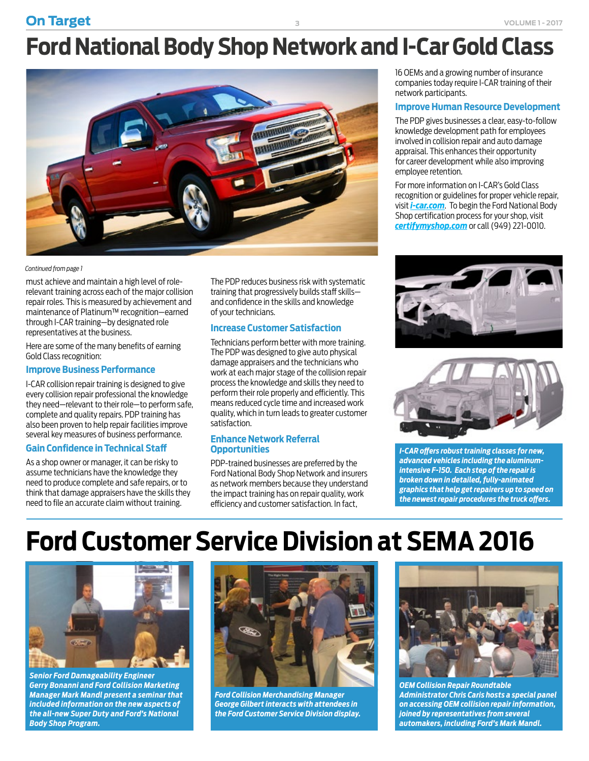**On Target 3 VOLUME 1-2017** 

# **Ford National Body Shop Network and I-Car Gold Class**



#### *Continued from page 1*

must achieve and maintain a high level of rolerelevant training across each of the major collision repair roles. This is measured by achievement and maintenance of Platinum™ recognition—earned through I-CAR training—by designated role representatives at the business.

Here are some of the many benefits of earning Gold Class recognition:

#### **Improve Business Performance**

I-CAR collision repair training is designed to give every collision repair professional the knowledge they need—relevant to their role—to perform safe, complete and quality repairs. PDP training has also been proven to help repair facilities improve several key measures of business performance.

#### **Gain Confidence in Technical Staff**

As a shop owner or manager, it can be risky to assume technicians have the knowledge they need to produce complete and safe repairs, or to think that damage appraisers have the skills they need to file an accurate claim without training.

The PDP reduces business risk with systematic training that progressively builds staff skills and confidence in the skills and knowledge of your technicians.

#### **Increase Customer Satisfaction**

Technicians perform better with more training. The PDP was designed to give auto physical damage appraisers and the technicians who work at each major stage of the collision repair process the knowledge and skills they need to perform their role properly and efficiently. This means reduced cycle time and increased work quality, which in turn leads to greater customer satisfaction.

#### **Enhance Network Referral Opportunities**

PDP-trained businesses are preferred by the Ford National Body Shop Network and insurers as network members because they understand the impact training has on repair quality, work efficiency and customer satisfaction. In fact,

16 OEMs and a growing number of insurance companies today require I-CAR training of their network participants.

#### **Improve Human Resource Development**

The PDP gives businesses a clear, easy-to-follow knowledge development path for employees involved in collision repair and auto damage appraisal. This enhances their opportunity for career development while also improving employee retention.

For more information on I-CAR's Gold Class recognition or guidelines for proper vehicle repair, visit *i-car.com*. To begin the Ford National Body Shop certification process for your shop, visit *certifymyshop.com* or call (949) 221-0010.





*I-CAR offers robust training classes for new, advanced vehicles including the aluminumintensive F-150. Each step of the repair is broken down in detailed, fully-animated graphics that help get repairers up to speed on the newest repair procedures the truck offers.*

# **Ford Customer Service Division at SEMA 2016**



*Senior Ford Damageability Engineer Gerry Bonanni and Ford Collision Marketing Manager Mark Mandl present a seminar that included information on the new aspects of the all-new Super Duty and Ford's National Body Shop Program.*



*Ford Collision Merchandising Manager George Gilbert interacts with attendees in the Ford Customer Service Division display.*



*OEM Collision Repair Roundtable Administrator Chris Caris hosts a special panel on accessing OEM collision repair information, joined by representatives from several automakers, including Ford's Mark Mandl.*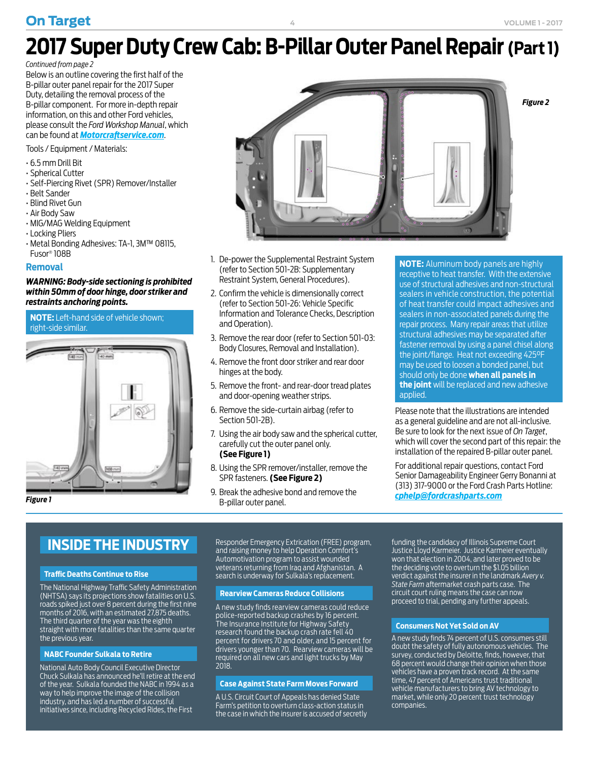### **On Target VOLUME 1-2017**

# **2017 Super Duty Crew Cab: B-Pillar Outer Panel Repair (Part 1)**

*Continued from page 2*

Below is an outline covering the first half of the B-pillar outer panel repair for the 2017 Super Duty, detailing the removal process of the B-pillar component. For more in-depth repair information, on this and other Ford vehicles, please consult the *Ford Workshop Manual*, which can be found at *Motorcraftservice.com*.

Tools / Equipment / Materials:

- 6.5 mm Drill Bit
- Spherical Cutter
- Self-Piercing Rivet (SPR) Remover/Installer
- Belt Sander
- Blind Rivet Gun
- Air Body Saw
- MIG/MAG Welding Equipment
- Locking Pliers
- Metal Bonding Adhesives: TA-1, 3M™ 08115, Fusor® 108B

#### **Removal**

#### *WARNING: Body-side sectioning is prohibited within 50mm of door hinge, door striker and restraints anchoring points.*

#### **NOTE:** Left-hand side of vehicle shown; right-side similar.





- 1. De-power the Supplemental Restraint System (refer to Section 501-2B: Supplementary Restraint System, General Procedures).
- 2. Confirm the vehicle is dimensionally correct (refer to Section 501-26: Vehicle Specific Information and Tolerance Checks, Description and Operation).
- 3. Remove the rear door (refer to Section 501-03: Body Closures, Removal and Installation).
- 4. Remove the front door striker and rear door hinges at the body.
- 5. Remove the front- and rear-door tread plates and door-opening weather strips.
- 6. Remove the side-curtain airbag (refer to Section 501-2B).
- 7. Using the air body saw and the spherical cutter, carefully cut the outer panel only. **(See Figure 1)**
- 8. Using the SPR remover/installer, remove the SPR fasteners. **(See Figure 2)**
- 9. Break the adhesive bond and remove the B-pillar outer panel. **Figure 1** *cphelp@fordcrashparts.com*<br>Publist outor papel

**NOTE:** Aluminum body panels are highly receptive to heat transfer. With the extensive use of structural adhesives and non-structural sealers in vehicle construction, the potential of heat transfer could impact adhesives and sealers in non-associated panels during the repair process. Many repair areas that utilize structural adhesives may be separated after fastener removal by using a panel chisel along the joint/flange. Heat not exceeding 425°F may be used to loosen a bonded panel, but should only be done **when all panels in the joint** will be replaced and new adhesive applied.

Please note that the illustrations are intended as a general guideline and are not all-inclusive. Be sure to look for the next issue of *On Target*, which will cover the second part of this repair: the installation of the repaired B-pillar outer panel.

For additional repair questions, contact Ford Senior Damageability Engineer Gerry Bonanni at (313) 317-9000 or the Ford Crash Parts Hotline:

### **INSIDE THE INDUSTRY**

#### **Traffic Deaths Continue to Rise**

The National Highway Traffic Safety Administration (NHTSA) says its projections show fatalities on U.S. roads spiked just over 8 percent during the first nine months of 2016, with an estimated 27,875 deaths. The third quarter of the year was the eighth straight with more fatalities than the same quarter the previous year.

#### **NABC Founder Sulkala to Retire**

National Auto Body Council Executive Director Chuck Sulkala has announced he'll retire at the end of the year. Sulkala founded the NABC in 1994 as a way to help improve the image of the collision industry, and has led a number of successful initiatives since, including Recycled Rides, the First

Responder Emergency Extrication (FREE) program, and raising money to help Operation Comfort's Automotivation program to assist wounded veterans returning from Iraq and Afghanistan. A search is underway for Sulkala's replacement.

#### **Rearview Cameras Reduce Collisions**

A new study finds rearview cameras could reduce police-reported backup crashes by 16 percent. The Insurance Institute for Highway Safety research found the backup crash rate fell 40 percent for drivers 70 and older, and 15 percent for drivers younger than 70. Rearview cameras will be required on all new cars and light trucks by May 2018.

#### **Case Against State Farm Moves Forward**

A U.S. Circuit Court of Appeals has denied State Farm's petition to overturn class-action status in the case in which the insurer is accused of secretly

funding the candidacy of Illinois Supreme Court Justice Lloyd Karmeier. Justice Karmeier eventually won that election in 2004, and later proved to be the deciding vote to overturn the \$1.05 billion verdict against the insurer in the landmark *Avery v. State Farm* aftermarket crash parts case. The circuit court ruling means the case can now proceed to trial, pending any further appeals.

#### **Consumers Not Yet Sold on AV**

A new study finds 74 percent of U.S. consumers still doubt the safety of fully autonomous vehicles. The survey, conducted by Deloitte, finds, however, that **68 percent would change their opinion when those** vehicles have a proven track record. At the same time, 47 percent of Americans trust traditional vehicle manufacturers to bring AV technology to market, while only 20 percent trust technology companies.

**4**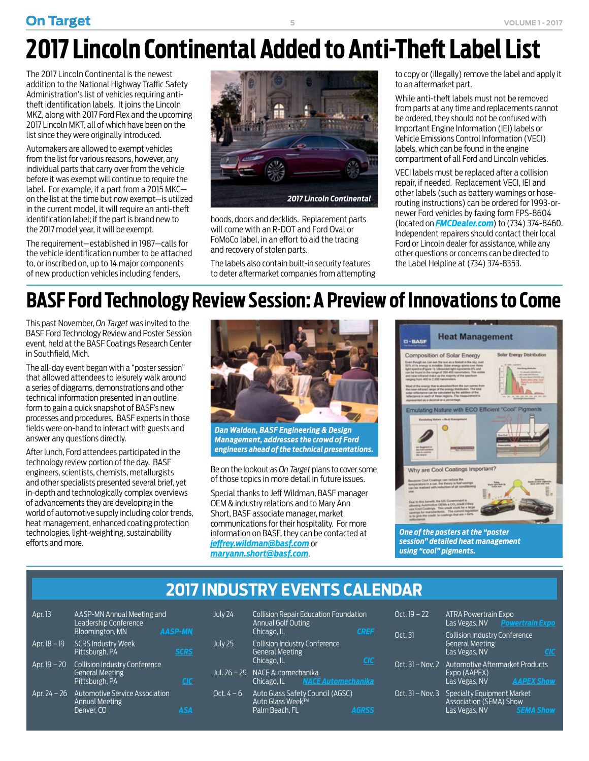### **On Target VOLUME 1 - 2017**

# **2017 Lincoln Continental Added to Anti-Theft Label List**

**5**

The 2017 Lincoln Continental is the newest addition to the National Highway Traffic Safety Administration's list of vehicles requiring antitheft identification labels. It joins the Lincoln MKZ, along with 2017 Ford Flex and the upcoming 2017 Lincoln MKT, all of which have been on the list since they were originally introduced.

Automakers are allowed to exempt vehicles from the list for various reasons, however, any individual parts that carry over from the vehicle before it was exempt will continue to require the label. For example, if a part from a 2015 MKC on the list at the time but now exempt—is utilized in the current model, it will require an anti-theft identification label; if the part is brand new to the 2017 model year, it will be exempt.

The requirement—established in 1987—calls for the vehicle identification number to be attached to, or inscribed on, up to 14 major components of new production vehicles including fenders,



hoods, doors and decklids. Replacement parts will come with an R-DOT and Ford Oval or FoMoCo label, in an effort to aid the tracing and recovery of stolen parts.

The labels also contain built-in security features to deter aftermarket companies from attempting

to copy or (illegally) remove the label and apply it to an aftermarket part.

While anti-theft labels must not be removed from parts at any time and replacements cannot be ordered, they should not be confused with Important Engine Information (IEI) labels or Vehicle Emissions Control Information (VECI) labels, which can be found in the engine compartment of all Ford and Lincoln vehicles.

VECI labels must be replaced after a collision repair, if needed. Replacement VECI, IEI and other labels (such as battery warnings or hoserouting instructions) can be ordered for 1993-ornewer Ford vehicles by faxing form FPS-8604 (located on *FMCDealer.com*) to (734) 374-8460. Independent repairers should contact their local Ford or Lincoln dealer for assistance, while any other questions or concerns can be directed to the Label Helpline at (734) 374-8353.

## **BASF Ford Technology Review Session: A Preview of Innovations to Come**

This past November, *On Target* was invited to the BASF Ford Technology Review and Poster Session event, held at the BASF Coatings Research Center in Southfield, Mich.

The all-day event began with a "poster session" that allowed attendees to leisurely walk around a series of diagrams, demonstrations and other technical information presented in an outline form to gain a quick snapshot of BASF's new processes and procedures. BASF experts in those fields were on-hand to interact with guests and answer any questions directly.

After lunch, Ford attendees participated in the technology review portion of the day. BASF engineers, scientists, chemists, metallurgists and other specialists presented several brief, yet in-depth and technologically complex overviews of advancements they are developing in the world of automotive supply including color trends, heat management, enhanced coating protection technologies, light-weighting, sustainability efforts and more.



*Dan Waldon, BASF Engineering & Design Management, addresses the crowd of Ford engineers ahead of the technical presentations.*

Be on the lookout as *On Target* plans to cover some of those topics in more detail in future issues.

Special thanks to Jeff Wildman, BASF manager OEM & industry relations and to Mary Ann Short, BASF associate manager, market communications for their hospitality. For more information on BASF, they can be contacted at *jeffrey.wildman@basf.com* or *maryann.short@basf.com*.



*session" detailed heat management using "cool" pigments.*

### **2017 INDUSTRY EVENTS CALENDAR**

| Apr. 13                    | AASP-MN Annual Meeting and<br>Leadership Conference<br><b>Bloomington, MN</b>    | <b>AASP-MN</b> |
|----------------------------|----------------------------------------------------------------------------------|----------------|
| Apr. 18 - 19               | <b>SCRS Industry Week</b><br>Pittsburgh, PA                                      | SCRS           |
| Apr. 19 - 20               | <b>Collision Industry Conference</b><br><b>General Meeting</b><br>Pittsburgh, PA |                |
| $\overline{Apr}$ . 24 – 26 | <b>Automotive Service Association</b><br><b>Annual Meeting</b><br>Denver, CO     |                |

| July 24        | <b>Annual Golf Outing</b><br>Chicago, IL                                      | <b>Collision Repair Education Foundation</b> | CREF         |
|----------------|-------------------------------------------------------------------------------|----------------------------------------------|--------------|
| July 25        | <b>Collision Industry Conference</b><br><b>General Meeting</b><br>Chicago, IL |                                              |              |
| Jul. $26 - 29$ | NACE Automechanika                                                            | Chicago, IL <b>NACE Automechanika</b>        |              |
| Oct. $4-6$     | Auto Glass Week™<br>Palm Beach. FL                                            | Auto Glass Safety Council (AGSC)             | <b>AGRSS</b> |

| Oct. $19 - 22$     | <b>ATRA Powertrain Expo</b>                                                     | Las Vegas, NV Powertrain Expo |
|--------------------|---------------------------------------------------------------------------------|-------------------------------|
| Oct. 31            | <b>Collision Industry Conference</b><br><b>General Meeting</b><br>Las Vegas, NV |                               |
| $Oct. 31 - Nov. 2$ | Automotive Aftermarket Products<br>Expo (AAPEX)<br>Las Vegas, NV                | <b>AAPEX Show</b>             |
| $Oct. 31 - Nov. 3$ | Specialty Equipment Market<br><b>Association (SEMA) Show</b><br>Las Vegas, NV   | <b>SEMA Show</b>              |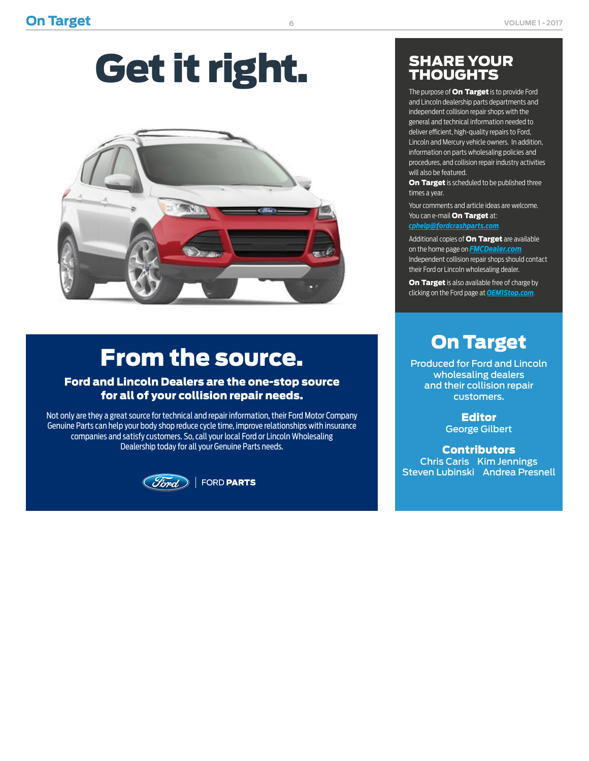# Get it right.



# From the source.

### Ford and Lincoln Dealers are the one-stop source for all of your collision repair needs.

Not only are they a great source for technical and repair information, their Ford Motor Company Genuine Parts can help your body shop reduce cycle time, improve relationships with insurance companies and satisfy customers. So, call your local Ford or Lincoln Wholesaling Dealership today for all your Genuine Parts needs.



### SHARE YOUR THOUGHTS

The purpose of **On Target** is to provide Ford and Lincoln dealership parts departments and independent collision repair shops with the general and technical information needed to deliver efficient, high-quality repairs to Ford, Lincoln and Mercury vehicle owners. In addition, information on parts wholesaling policies and procedures, and collision repair industry activities will also be featured.

On Target is scheduled to be published three times a year.

Your comments and article ideas are welcome. You can e-mail **On Target** at:

*cphelp@fordcrashparts.com*.

Additional copies of **On Target** are available on the home page on *FMCDealer.com*. Independent collision repair shops should contact their Ford or Lincoln wholesaling dealer.

On Target is also available free of charge by clicking on the Ford page at *OEM1Stop.com*.

### On Target

Produced for Ford and Lincoln wholesaling dealers and their collision repair customers.

> **Editor** George Gilbert

**Contributors** Chris Caris Kim Jennings Steven Lubinski Andrea Presnell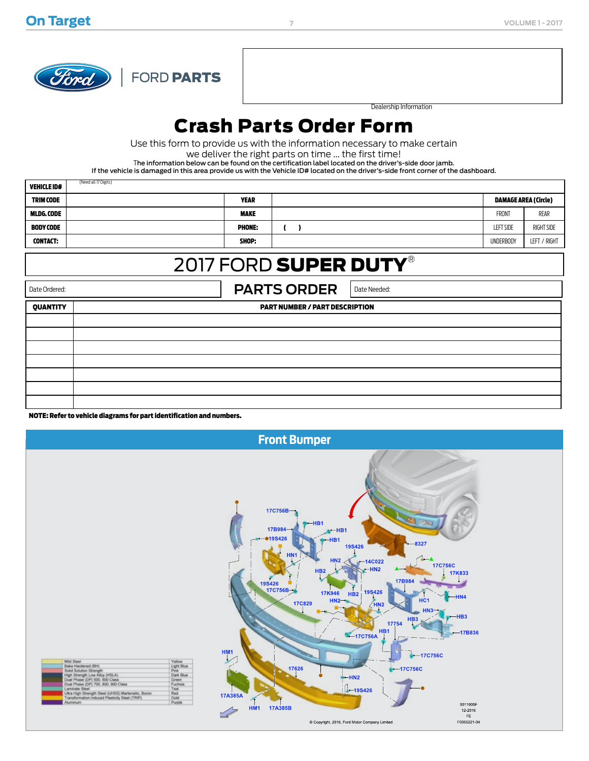

(Need all 17 Digits)

FORD PARTS

Dealership Information

### Crash Parts Order Form

Use this form to provide us with the information necessary to make certain

we deliver the right parts on time ... the first time!

The information below can be found on the certification label located on the driver's-side door jamb.

If the vehicle is damaged in this area provide us with the Vehicle ID# located on the driver's-side front corner of the dashboard.

| <b>VEHICLE ID#</b> | (Need all 17 Digits) |               |                  |                             |
|--------------------|----------------------|---------------|------------------|-----------------------------|
| <b>TRIM CODE</b>   |                      | <b>YEAR</b>   |                  | <b>DAMAGE AREA (Circle)</b> |
| <b>MLDG.CODE</b>   |                      | <b>MAKE</b>   | <b>FRONT</b>     | REAR                        |
| <b>BODY CODE</b>   |                      | <b>PHONE:</b> | <b>LEFT SIDE</b> | RIGHT SIDE                  |
| <b>CONTACT:</b>    |                      | SHOP:         | <b>UNDERBODY</b> | LEFT / RIGHT                |

### 2017 FORD SUPER DUTY®

Date Ordered: **PARTS ORDER** Date Needed:

| . <i>.</i> |                                       |  |
|------------|---------------------------------------|--|
| QUANTITY   | <b>PART NUMBER / PART DESCRIPTION</b> |  |
|            |                                       |  |
|            |                                       |  |
|            |                                       |  |
|            |                                       |  |
|            |                                       |  |
|            |                                       |  |
|            |                                       |  |

NOTE: Refer to vehicle diagrams for part identification and numbers.